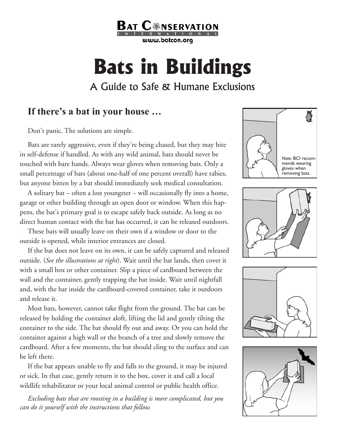

# **Bats in Buildings**

## A Guide to Safe & Humane Exclusions

### **If there's a bat in your house …**

Don't panic. The solutions are simple.

Bats are rarely aggressive, even if they're being chased, but they may bite in self-defense if handled. As with any wild animal, bats should never be touched with bare hands. Always wear gloves when removing bats. Only a small percentage of bats (about one-half of one percent overall) have rabies, but anyone bitten by a bat should immediately seek medical consultation.

A solitary bat – often a lost youngster – will occasionally fly into a home, garage or other building through an open door or window. When this happens, the bat's primary goal is to escape safely back outside. As long as no direct human contact with the bat has occurred, it can be released outdoors.

These bats will usually leave on their own if a window or door to the outside is opened, while interior entrances are closed.

If the bat does not leave on its own, it can be safely captured and released outside. (*See the illustrations at right*). Wait until the bat lands, then cover it with a small box or other container. Slip a piece of cardboard between the wall and the container, gently trapping the bat inside. Wait until nightfall and, with the bat inside the cardboard-covered container, take it outdoors and release it.

Most bats, however, cannot take flight from the ground. The bat can be released by holding the container aloft, lifting the lid and gently tilting the container to the side. The bat should fly out and away. Or you can hold the container against a high wall or the branch of a tree and slowly remove the cardboard. After a few moments, the bat should cling to the surface and can be left there.

If the bat appears unable to fly and falls to the ground, it may be injured or sick. In that case, gently return it to the box, cover it and call a local wildlife rehabilitator or your local animal control or public health office.

*Excluding bats that are roosting in a building is more complicated, but you can do it yourself with the instructions that follow.*







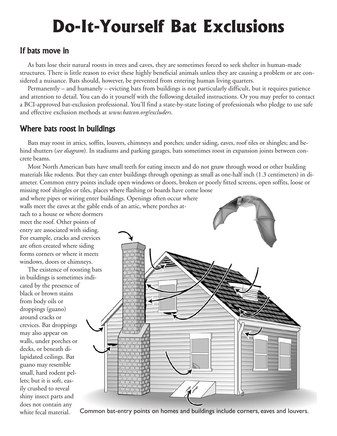# **Do-It-Yourself Bat Exclusions**

#### If bats move in

As bats lose their natural roosts in trees and caves, they are sometimes forced to seek shelter in human-made structures. There is little reason to evict these highly beneficial animals unless they are causing a problem or are considered a nuisance. Bats should, however, be prevented from entering human living quarters.

Permanently – and humanely – evicting bats from buildings is not particularly difficult, but it requires patience and attention to detail. You can do it yourself with the following detailed instructions. Or you may prefer to contact a BCI-approved bat-exclusion professional. You'll find a state-by-state listing of professionals who pledge to use safe and effective exclusion methods at *www.batcon.org/excluders*.

#### Where bats roost in buildings

Bats may roost in attics, soffits, louvers, chimneys and porches; under siding, eaves, roof tiles or shingles; and behind shutters (*see diagram*). In stadiums and parking garages, bats sometimes roost in expansion joints between concrete beams.

Most North American bats have small teeth for eating insects and do not gnaw through wood or other building materials like rodents. But they can enter buildings through openings as small as one-half inch (1.3 centimeters) in diameter. Common entry points include open windows or doors, broken or poorly fitted screens, open soffits, loose or missing roof shingles or tiles, places where flashing or boards have come loose

and where pipes or wiring enter buildings. Openings often occur where walls meet the eaves at the gable ends of an attic, where porches at-

tach to a house or where dormers meet the roof. Other points of entry are associated with siding. For example, cracks and crevices are often created where siding forms corners or where it meets windows, doors or chimneys.

The existence of roosting bats in buildings is sometimes indicated by the presence of black or brown stains from body oils or droppings (guano) around cracks or crevices. Bat droppings may also appear on walls, under porches or decks, or beneath dilapidated ceilings. Bat guano may resemble small, hard rodent pellets; but it is soft, easily crushed to reveal shiny insect parts and does not contain any



white fecal material. Common bat-entry points on homes and buildings include corners, eaves and louvers.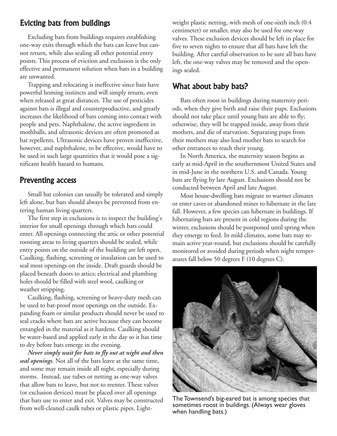#### Evicting bats from buildings

Excluding bats from buildings requires establishing one-way exits through which the bats can leave but cannot return, while also sealing all other potential entry points. This process of eviction and exclusion is the only effective and permanent solution when bats in a building are unwanted.

Trapping and relocating is ineffective since bats have powerful homing instincts and will simply return, even when released at great distances. The use of pesticides against bats is illegal and counterproductive, and greatly increases the likelihood of bats coming into contact with people and pets. Naphthalene, the active ingredient in mothballs, and ultrasonic devices are often promoted as bat repellents. Ultrasonic devices have proven ineffective, however, and naphthalene, to be effective, would have to be used in such large quantities that it would pose a significant health hazard to humans.

#### Preventing access

Small bat colonies can usually be tolerated and simply left alone, but bats should always be prevented from entering human living quarters.

The first step in exclusions is to inspect the building's interior for small openings through which bats could enter. All openings connecting the attic or other potential roosting areas to living quarters should be sealed, while entry points on the outside of the building are left open. Caulking, flashing, screening or insulation can be used to seal most openings on the inside. Draft guards should be placed beneath doors to attics; electrical and plumbing holes should be filled with steel wool, caulking or weather stripping.

Caulking, flashing, screening or heavy-duty mesh can be used to bat-proof most openings on the outside. Expanding foam or similar products should never be used to seal cracks where bats are active because they can become entangled in the material as it hardens. Caulking should be water-based and applied early in the day so it has time to dry before bats emerge in the evening.

*Never simply wait for bats to fly out at night and then seal openings.* Not all of the bats leave at the same time, and some may remain inside all night, especially during storms. Instead, use tubes or netting as one-way valves that allow bats to leave, but not to reenter. These valves (or exclusion devices) must be placed over all openings that bats use to enter and exit. Valves may be constructed from well-cleaned caulk tubes or plastic pipes. Lightweight plastic netting, with mesh of one-sixth inch (0.4 centimeter) or smaller, may also be used for one-way valves. These exclusion devices should be left in place for five to seven nights to ensure that all bats have left the building. After careful observation to be sure all bats have left, the one-way valves may be removed and the openings sealed.

#### What about baby bats?

Bats often roost in buildings during maternity periods, when they give birth and raise their pups. Exclusions should not take place until young bats are able to fly; otherwise, they will be trapped inside, away from their mothers, and die of starvation. Separating pups from their mothers may also lead mother bats to search for other entrances to reach their young.

In North America, the maternity season begins as early as mid-April in the southernmost United States and in mid-June in the northern U.S. and Canada. Young bats are flying by late August. Exclusions should not be conducted between April and late August.

Most house-dwelling bats migrate to warmer climates or enter caves or abandoned mines to hibernate in the late fall. However, a few species can hibernate in buildings. If hibernating bats are present in cold regions during the winter, exclusions should be postponed until spring when they emerge to feed. In mild climates, some bats may remain active year-round, but exclusions should be carefully monitored or avoided during periods when night temperatures fall below 50 degrees F (10 degrees C).



The Townsend's big-eared bat is among species that sometimes roost in buildings. (Always wear gloves when handling bats.)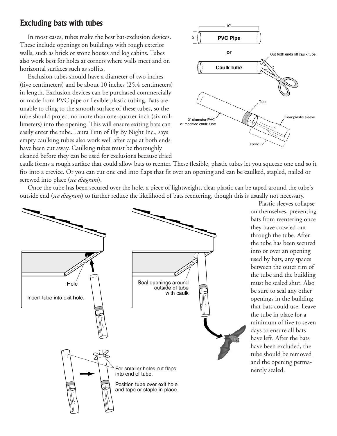#### Excluding bats with tubes

In most cases, tubes make the best bat-exclusion devices. These include openings on buildings with rough exterior walls, such as brick or stone houses and log cabins. Tubes also work best for holes at corners where walls meet and on horizontal surfaces such as soffits.

Exclusion tubes should have a diameter of two inches (five centimeters) and be about 10 inches (25.4 centimeters) in length. Exclusion devices can be purchased commercially or made from PVC pipe or flexible plastic tubing. Bats are unable to cling to the smooth surface of these tubes, so the tube should project no more than one-quarter inch (six millimeters) into the opening. This will ensure exiting bats can easily enter the tube. Laura Finn of Fly By Night Inc., says empty caulking tubes also work well after caps at both ends have been cut away. Caulking tubes must be thoroughly cleaned before they can be used for exclusions because dried



caulk forms a rough surface that could allow bats to reenter. These flexible, plastic tubes let you squeeze one end so it fits into a crevice. Or you can cut one end into flaps that fit over an opening and can be caulked, stapled, nailed or screwed into place (*see diagram*).

Once the tube has been secured over the hole, a piece of lightweight, clear plastic can be taped around the tube's outside end (*see diagram*) to further reduce the likelihood of bats reentering, though this is usually not necessary.



Plastic sleeves collapse on themselves, preventing bats from reentering once they have crawled out through the tube. After the tube has been secured into or over an opening used by bats, any spaces between the outer rim of the tube and the building must be sealed shut. Also be sure to seal any other openings in the building that bats could use. Leave the tube in place for a minimum of five to seven days to ensure all bats have left. After the bats have been excluded, the tube should be removed and the opening permanently sealed.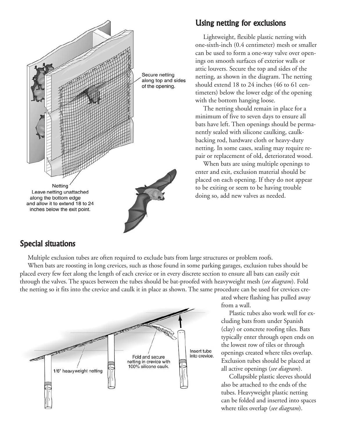

#### Using netting for exclusions

Lightweight, flexible plastic netting with one-sixth-inch (0.4 centimeter) mesh or smaller can be used to form a one-way valve over openings on smooth surfaces of exterior walls or attic louvers. Secure the top and sides of the netting, as shown in the diagram. The netting should extend 18 to 24 inches (46 to 61 centimeters) below the lower edge of the opening with the bottom hanging loose.

The netting should remain in place for a minimum of five to seven days to ensure all bats have left. Then openings should be permanently sealed with silicone caulking, caulkbacking rod, hardware cloth or heavy-duty netting. In some cases, sealing may require repair or replacement of old, deteriorated wood.

When bats are using multiple openings to enter and exit, exclusion material should be placed on each opening. If they do not appear to be exiting or seem to be having trouble doing so, add new valves as needed.

#### Special situations

Multiple exclusion tubes are often required to exclude bats from large structures or problem roofs.

When bats are roosting in long crevices, such as those found in some parking garages, exclusion tubes should be placed every few feet along the length of each crevice or in every discrete section to ensure all bats can easily exit through the valves. The spaces between the tubes should be bat-proofed with heavyweight mesh (*see diagram*). Fold the netting so it fits into the crevice and caulk it in place as shown. The same procedure can be used for crevices cre-



ated where flashing has pulled away from a wall.

Plastic tubes also work well for excluding bats from under Spanish (clay) or concrete roofing tiles. Bats typically enter through open ends on the lowest row of tiles or through openings created where tiles overlap. Exclusion tubes should be placed at all active openings (*see diagram*).

Collapsible plastic sleeves should also be attached to the ends of the tubes. Heavyweight plastic netting can be folded and inserted into spaces where tiles overlap (*see diagram*).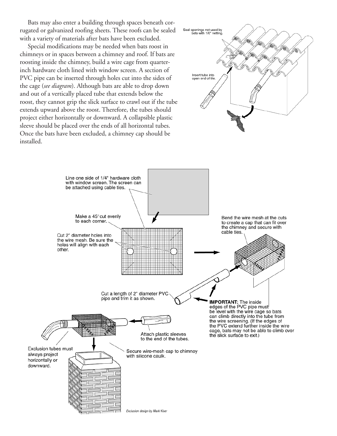Bats may also enter a building through spaces beneath corrugated or galvanized roofing sheets. These roofs can be sealed with a variety of materials after bats have been excluded.

Special modifications may be needed when bats roost in chimneys or in spaces between a chimney and roof. If bats are roosting inside the chimney, build a wire cage from quarterinch hardware cloth lined with window screen. A section of PVC pipe can be inserted through holes cut into the sides of the cage (*see diagram*). Although bats are able to drop down and out of a vertically placed tube that extends below the roost, they cannot grip the slick surface to crawl out if the tube extends upward above the roost. Therefore, the tubes should project either horizontally or downward. A collapsible plastic sleeve should be placed over the ends of all horizontal tubes. Once the bats have been excluded, a chimney cap should be installed.